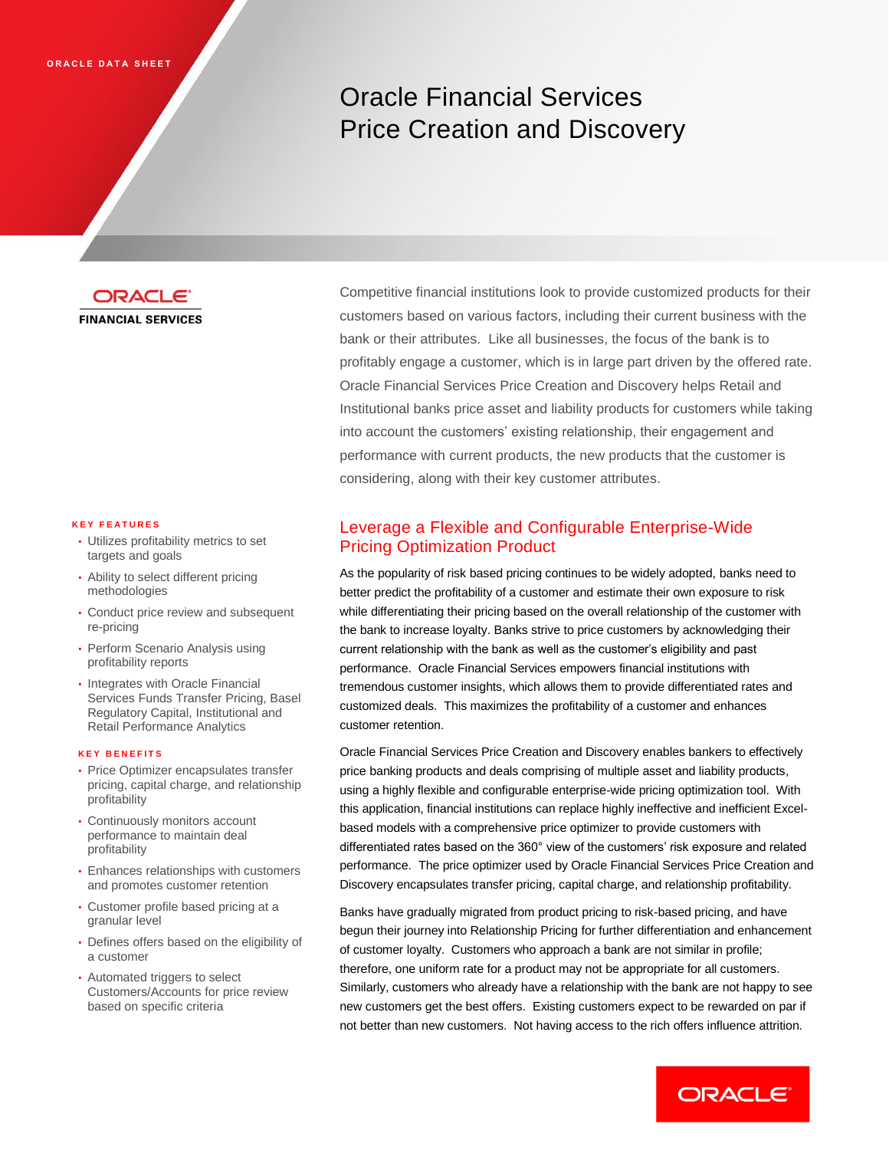# Oracle Financial Services Price Creation and Discovery



#### **K E Y F E A T U R E S**

- Utilizes profitability metrics to set targets and goals
- Ability to select different pricing methodologies
- Conduct price review and subsequent re-pricing
- Perform Scenario Analysis using profitability reports
- Integrates with Oracle Financial Services Funds Transfer Pricing, Basel Regulatory Capital, Institutional and Retail Performance Analytics

#### **K E Y B E N E F I T S**

- Price Optimizer encapsulates transfer pricing, capital charge, and relationship profitability
- Continuously monitors account performance to maintain deal profitability
- Enhances relationships with customers and promotes customer retention
- Customer profile based pricing at a granular level
- Defines offers based on the eligibility of a customer
- Automated triggers to select Customers/Accounts for price review based on specific criteria

Competitive financial institutions look to provide customized products for their customers based on various factors, including their current business with the bank or their attributes. Like all businesses, the focus of the bank is to profitably engage a customer, which is in large part driven by the offered rate. Oracle Financial Services Price Creation and Discovery helps Retail and Institutional banks price asset and liability products for customers while taking into account the customers' existing relationship, their engagement and performance with current products, the new products that the customer is considering, along with their key customer attributes.

## Leverage a Flexible and Configurable Enterprise-Wide Pricing Optimization Product

As the popularity of risk based pricing continues to be widely adopted, banks need to better predict the profitability of a customer and estimate their own exposure to risk while differentiating their pricing based on the overall relationship of the customer with the bank to increase loyalty. Banks strive to price customers by acknowledging their current relationship with the bank as well as the customer's eligibility and past performance. Oracle Financial Services empowers financial institutions with tremendous customer insights, which allows them to provide differentiated rates and customized deals. This maximizes the profitability of a customer and enhances customer retention.

Oracle Financial Services Price Creation and Discovery enables bankers to effectively price banking products and deals comprising of multiple asset and liability products, using a highly flexible and configurable enterprise-wide pricing optimization tool. With this application, financial institutions can replace highly ineffective and inefficient Excelbased models with a comprehensive price optimizer to provide customers with differentiated rates based on the 360° view of the customers' risk exposure and related performance. The price optimizer used by Oracle Financial Services Price Creation and Discovery encapsulates transfer pricing, capital charge, and relationship profitability.

Banks have gradually migrated from product pricing to risk-based pricing, and have begun their journey into Relationship Pricing for further differentiation and enhancement of customer loyalty. Customers who approach a bank are not similar in profile; therefore, one uniform rate for a product may not be appropriate for all customers. Similarly, customers who already have a relationship with the bank are not happy to see new customers get the best offers. Existing customers expect to be rewarded on par if not better than new customers. Not having access to the rich offers influence attrition.

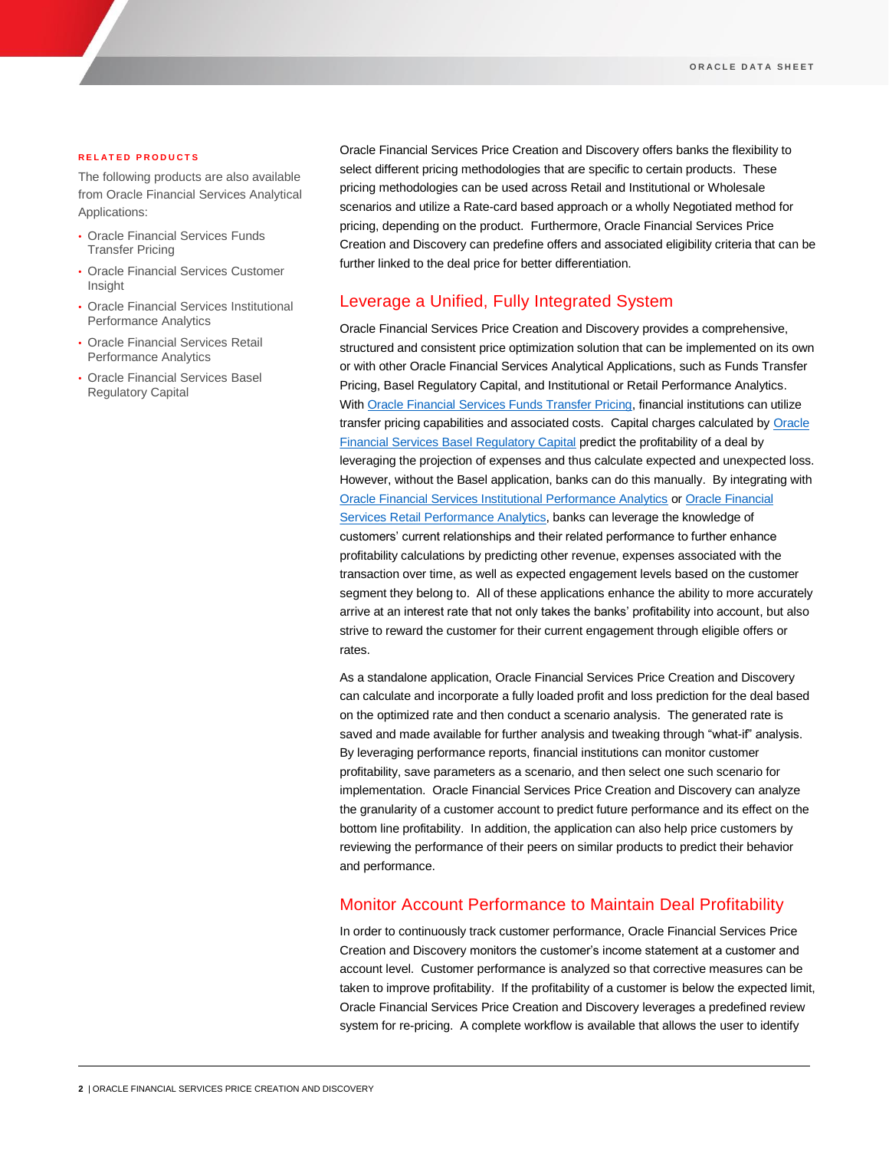### **R E L A T E D P R O D U C T S**

The following products are also available from Oracle Financial Services Analytical Applications:

- Oracle Financial Services Funds Transfer Pricing
- Oracle Financial Services Customer Insight
- Oracle Financial Services Institutional Performance Analytics
- Oracle Financial Services Retail Performance Analytics
- Oracle Financial Services Basel Regulatory Capital

Oracle Financial Services Price Creation and Discovery offers banks the flexibility to select different pricing methodologies that are specific to certain products. These pricing methodologies can be used across Retail and Institutional or Wholesale scenarios and utilize a Rate-card based approach or a wholly Negotiated method for pricing, depending on the product. Furthermore, Oracle Financial Services Price Creation and Discovery can predefine offers and associated eligibility criteria that can be further linked to the deal price for better differentiation.

## Leverage a Unified, Fully Integrated System

Oracle Financial Services Price Creation and Discovery provides a comprehensive, structured and consistent price optimization solution that can be implemented on its own or with other Oracle Financial Services Analytical Applications, such as Funds Transfer Pricing, Basel Regulatory Capital, and Institutional or Retail Performance Analytics. Wit[h Oracle Financial Services Funds Transfer Pricing,](http://www.oracle.com/us/products/applications/financial-services/funds-transfer-pricing/index.html) financial institutions can utilize transfer pricing capabilities and associated costs. Capital charges calculated by Oracle [Financial Services Basel Regulatory Capital](http://www.oracle.com/us/products/applications/financial-services/basel-regulatory-capital/overview/index.html) predict the profitability of a deal by leveraging the projection of expenses and thus calculate expected and unexpected loss. However, without the Basel application, banks can do this manually. By integrating with [Oracle Financial Services Institutional Performance Analytics](http://www.oracle.com/us/products/applications/financial-services/customer-insight/performance-analytics/index.html) or [Oracle Financial](http://www.oracle.com/us/products/applications/financial-services/customer-insight/retail-performance-analytics/index.html)  [Services Retail Performance Analytics,](http://www.oracle.com/us/products/applications/financial-services/customer-insight/retail-performance-analytics/index.html) banks can leverage the knowledge of customers' current relationships and their related performance to further enhance profitability calculations by predicting other revenue, expenses associated with the transaction over time, as well as expected engagement levels based on the customer segment they belong to. All of these applications enhance the ability to more accurately arrive at an interest rate that not only takes the banks' profitability into account, but also strive to reward the customer for their current engagement through eligible offers or rates.

As a standalone application, Oracle Financial Services Price Creation and Discovery can calculate and incorporate a fully loaded profit and loss prediction for the deal based on the optimized rate and then conduct a scenario analysis. The generated rate is saved and made available for further analysis and tweaking through "what-if" analysis. By leveraging performance reports, financial institutions can monitor customer profitability, save parameters as a scenario, and then select one such scenario for implementation. Oracle Financial Services Price Creation and Discovery can analyze the granularity of a customer account to predict future performance and its effect on the bottom line profitability. In addition, the application can also help price customers by reviewing the performance of their peers on similar products to predict their behavior and performance.

### Monitor Account Performance to Maintain Deal Profitability

In order to continuously track customer performance, Oracle Financial Services Price Creation and Discovery monitors the customer's income statement at a customer and account level. Customer performance is analyzed so that corrective measures can be taken to improve profitability. If the profitability of a customer is below the expected limit, Oracle Financial Services Price Creation and Discovery leverages a predefined review system for re-pricing. A complete workflow is available that allows the user to identify